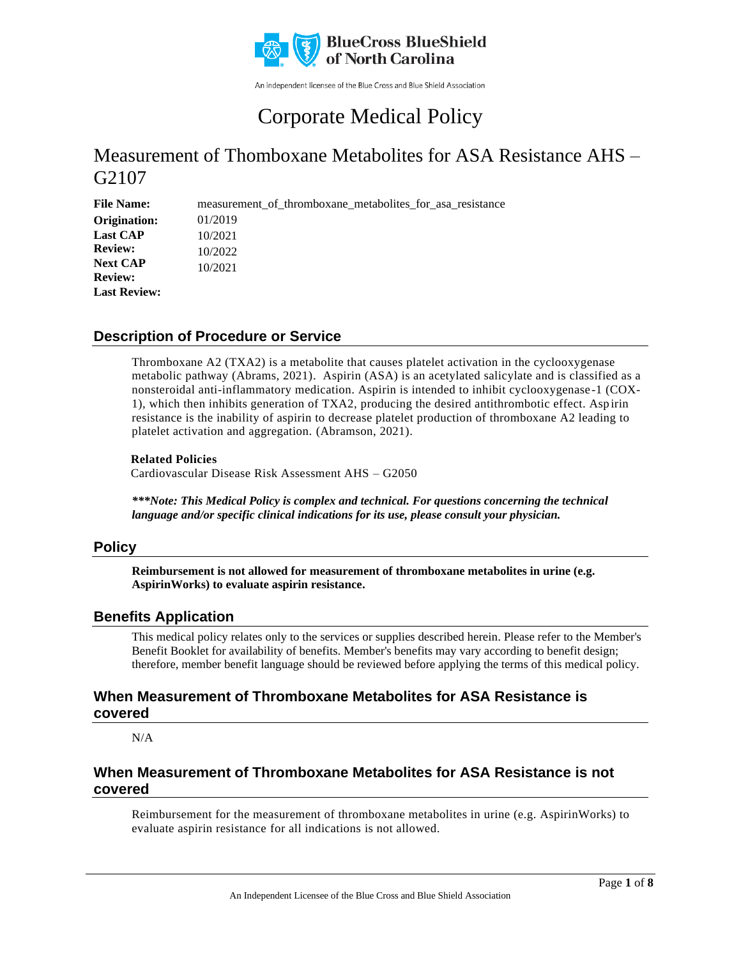

An independent licensee of the Blue Cross and Blue Shield Association

# Corporate Medical Policy

## Measurement of Thomboxane Metabolites for ASA Resistance AHS – G2107

**File Name:** measurement of thromboxane metabolites for asa resistance 01/2019 10/2021 10/2022 10/2021 **Origination: Last CAP Review: Next CAP Review: Last Review:**

### **Description of Procedure or Service**

Thromboxane A2 (TXA2) is a metabolite that causes platelet activation in the cyclooxygenase metabolic pathway (Abrams, 2021). Aspirin (ASA) is an acetylated salicylate and is classified as a nonsteroidal anti-inflammatory medication. Aspirin is intended to inhibit cyclooxygenase-1 (COX-1), which then inhibits generation of TXA2, producing the desired antithrombotic effect. Asp irin resistance is the inability of aspirin to decrease platelet production of thromboxane A2 leading to platelet activation and aggregation. (Abramson, 2021).

#### **Related Policies**

Cardiovascular Disease Risk Assessment AHS – G2050

*\*\*\*Note: This Medical Policy is complex and technical. For questions concerning the technical language and/or specific clinical indications for its use, please consult your physician.*

### **Policy**

**Reimbursement is not allowed for measurement of thromboxane metabolites in urine (e.g. AspirinWorks) to evaluate aspirin resistance.**

### **Benefits Application**

This medical policy relates only to the services or supplies described herein. Please refer to the Member's Benefit Booklet for availability of benefits. Member's benefits may vary according to benefit design; therefore, member benefit language should be reviewed before applying the terms of this medical policy.

### **When Measurement of Thromboxane Metabolites for ASA Resistance is covered**

N/A

## **When Measurement of Thromboxane Metabolites for ASA Resistance is not covered**

Reimbursement for the measurement of thromboxane metabolites in urine (e.g. AspirinWorks) to evaluate aspirin resistance for all indications is not allowed.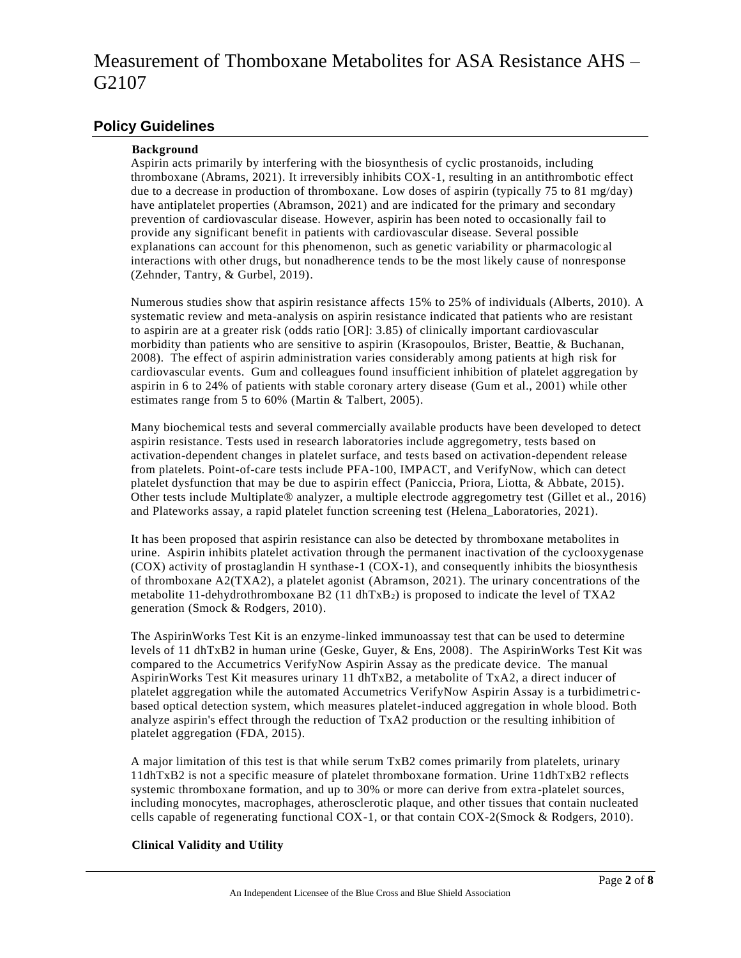### **Policy Guidelines**

#### **Background**

Aspirin acts primarily by interfering with the biosynthesis of cyclic prostanoids, including thromboxane (Abrams, 2021). It irreversibly inhibits COX-1, resulting in an antithrombotic effect due to a decrease in production of thromboxane. Low doses of aspirin (typically 75 to 81 mg/day) have antiplatelet properties (Abramson, 2021) and are indicated for the primary and secondary prevention of cardiovascular disease. However, aspirin has been noted to occasionally fail to provide any significant benefit in patients with cardiovascular disease. Several possible explanations can account for this phenomenon, such as genetic variability or pharmacologic al interactions with other drugs, but nonadherence tends to be the most likely cause of nonresponse (Zehnder, Tantry, & Gurbel, 2019).

Numerous studies show that aspirin resistance affects 15% to 25% of individuals (Alberts, 2010). A systematic review and meta-analysis on aspirin resistance indicated that patients who are resistant to aspirin are at a greater risk (odds ratio [OR]: 3.85) of clinically important cardiovascular morbidity than patients who are sensitive to aspirin (Krasopoulos, Brister, Beattie, & Buchanan, 2008). The effect of aspirin administration varies considerably among patients at high risk for cardiovascular events. Gum and colleagues found insufficient inhibition of platelet aggregation by aspirin in 6 to 24% of patients with stable coronary artery disease (Gum et al., 2001) while other estimates range from 5 to 60% (Martin & Talbert, 2005).

Many biochemical tests and several commercially available products have been developed to detect aspirin resistance. Tests used in research laboratories include aggregometry, tests based on activation-dependent changes in platelet surface, and tests based on activation-dependent release from platelets. Point-of-care tests include PFA-100, IMPACT, and VerifyNow, which can detect platelet dysfunction that may be due to aspirin effect (Paniccia, Priora, Liotta, & Abbate, 2015). Other tests include Multiplate® analyzer, a multiple electrode aggregometry test (Gillet et al., 2016) and Plateworks assay, a rapid platelet function screening test (Helena\_Laboratories, 2021).

It has been proposed that aspirin resistance can also be detected by thromboxane metabolites in urine. Aspirin inhibits platelet activation through the permanent inactivation of the cyclooxygenase (COX) activity of prostaglandin H synthase-1 (COX-1), and consequently inhibits the biosynthesis of thromboxane A2(TXA2), a platelet agonist (Abramson, 2021). The urinary concentrations of the metabolite 11-dehydrothromboxane B2 (11 dhTxB<sub>2</sub>) is proposed to indicate the level of TXA2 generation (Smock & Rodgers, 2010).

The AspirinWorks Test Kit is an enzyme-linked immunoassay test that can be used to determine levels of 11 dhTxB2 in human urine (Geske, Guyer, & Ens, 2008). The AspirinWorks Test Kit was compared to the Accumetrics VerifyNow Aspirin Assay as the predicate device. The manual AspirinWorks Test Kit measures urinary 11 dhTxB2, a metabolite of TxA2, a direct inducer of platelet aggregation while the automated Accumetrics VerifyNow Aspirin Assay is a turbidimetri cbased optical detection system, which measures platelet-induced aggregation in whole blood. Both analyze aspirin's effect through the reduction of TxA2 production or the resulting inhibition of platelet aggregation (FDA, 2015).

A major limitation of this test is that while serum TxB2 comes primarily from platelets, urinary 11dhTxB2 is not a specific measure of platelet thromboxane formation. Urine 11dhTxB2 r eflects systemic thromboxane formation, and up to 30% or more can derive from extra -platelet sources, including monocytes, macrophages, atherosclerotic plaque, and other tissues that contain nucleated cells capable of regenerating functional COX-1, or that contain COX-2(Smock & Rodgers, 2010).

### **Clinical Validity and Utility**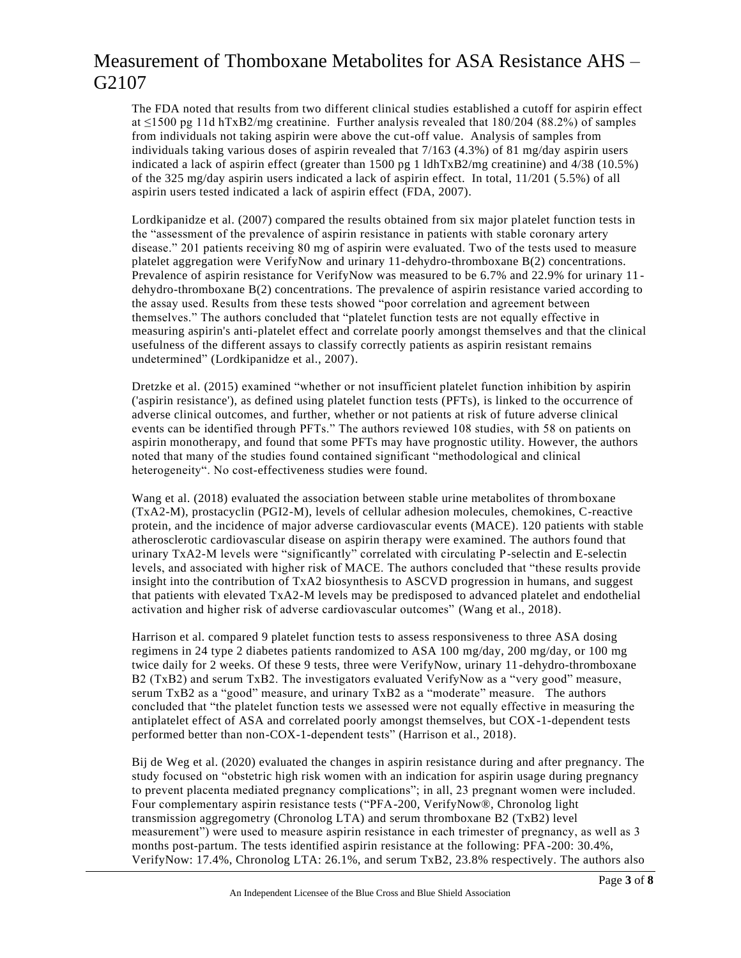The FDA noted that results from two different clinical studies established a cutoff for aspirin effect at  $\leq$ 1500 pg 11d hTxB2/mg creatinine. Further analysis revealed that 180/204 (88.2%) of samples from individuals not taking aspirin were above the cut-off value. Analysis of samples from individuals taking various doses of aspirin revealed that 7/163 (4.3%) of 81 mg/day aspirin users indicated a lack of aspirin effect (greater than 1500 pg 1 ldhTxB2/mg creatinine) and 4/38 (10.5%) of the 325 mg/day aspirin users indicated a lack of aspirin effect. In total, 11/201 ( 5.5%) of all aspirin users tested indicated a lack of aspirin effect (FDA, 2007).

Lordkipanidze et al. (2007) compared the results obtained from six major platelet function tests in the "assessment of the prevalence of aspirin resistance in patients with stable coronary artery disease." 201 patients receiving 80 mg of aspirin were evaluated. Two of the tests used to measure platelet aggregation were VerifyNow and urinary 11-dehydro-thromboxane B(2) concentrations. Prevalence of aspirin resistance for VerifyNow was measured to be 6.7% and 22.9% for urinary 11 dehydro-thromboxane B(2) concentrations. The prevalence of aspirin resistance varied according to the assay used. Results from these tests showed "poor correlation and agreement between themselves." The authors concluded that "platelet function tests are not equally effective in measuring aspirin's anti-platelet effect and correlate poorly amongst themselves and that the clinical usefulness of the different assays to classify correctly patients as aspirin resistant remains undetermined" (Lordkipanidze et al., 2007).

Dretzke et al. (2015) examined "whether or not insufficient platelet function inhibition by aspirin ('aspirin resistance'), as defined using platelet function tests (PFTs), is linked to the occurrence of adverse clinical outcomes, and further, whether or not patients at risk of future adverse clinical events can be identified through PFTs." The authors reviewed 108 studies, with 58 on patients on aspirin monotherapy, and found that some PFTs may have prognostic utility. However, the authors noted that many of the studies found contained significant "methodological and clinical heterogeneity". No cost-effectiveness studies were found.

Wang et al. (2018) evaluated the association between stable urine metabolites of thromboxane (TxA2-M), prostacyclin (PGI2-M), levels of cellular adhesion molecules, chemokines, C-reactive protein, and the incidence of major adverse cardiovascular events (MACE). 120 patients with stable atherosclerotic cardiovascular disease on aspirin therapy were examined. The authors found that urinary TxA2-M levels were "significantly" correlated with circulating P-selectin and E-selectin levels, and associated with higher risk of MACE. The authors concluded that "these results provide insight into the contribution of TxA2 biosynthesis to ASCVD progression in humans, and suggest that patients with elevated TxA2-M levels may be predisposed to advanced platelet and endothelial activation and higher risk of adverse cardiovascular outcomes" (Wang et al., 2018).

Harrison et al. compared 9 platelet function tests to assess responsiveness to three ASA dosing regimens in 24 type 2 diabetes patients randomized to ASA 100 mg/day, 200 mg/day, or 100 mg twice daily for 2 weeks. Of these 9 tests, three were VerifyNow, urinary 11-dehydro-thromboxane B2 (TxB2) and serum TxB2. The investigators evaluated VerifyNow as a "very good" measure, serum TxB2 as a "good" measure, and urinary TxB2 as a "moderate" measure. The authors concluded that "the platelet function tests we assessed were not equally effective in measuring the antiplatelet effect of ASA and correlated poorly amongst themselves, but COX-1-dependent tests performed better than non-COX-1-dependent tests" (Harrison et al., 2018).

Bij de Weg et al. (2020) evaluated the changes in aspirin resistance during and after pregnancy. The study focused on "obstetric high risk women with an indication for aspirin usage during pregnancy to prevent placenta mediated pregnancy complications"; in all, 23 pregnant women were included. Four complementary aspirin resistance tests ("PFA-200, VerifyNow®, Chronolog light transmission aggregometry (Chronolog LTA) and serum thromboxane B2 (TxB2) level measurement") were used to measure aspirin resistance in each trimester of pregnancy, as well as 3 months post-partum. The tests identified aspirin resistance at the following: PFA-200: 30.4%, VerifyNow: 17.4%, Chronolog LTA: 26.1%, and serum TxB2, 23.8% respectively. The authors also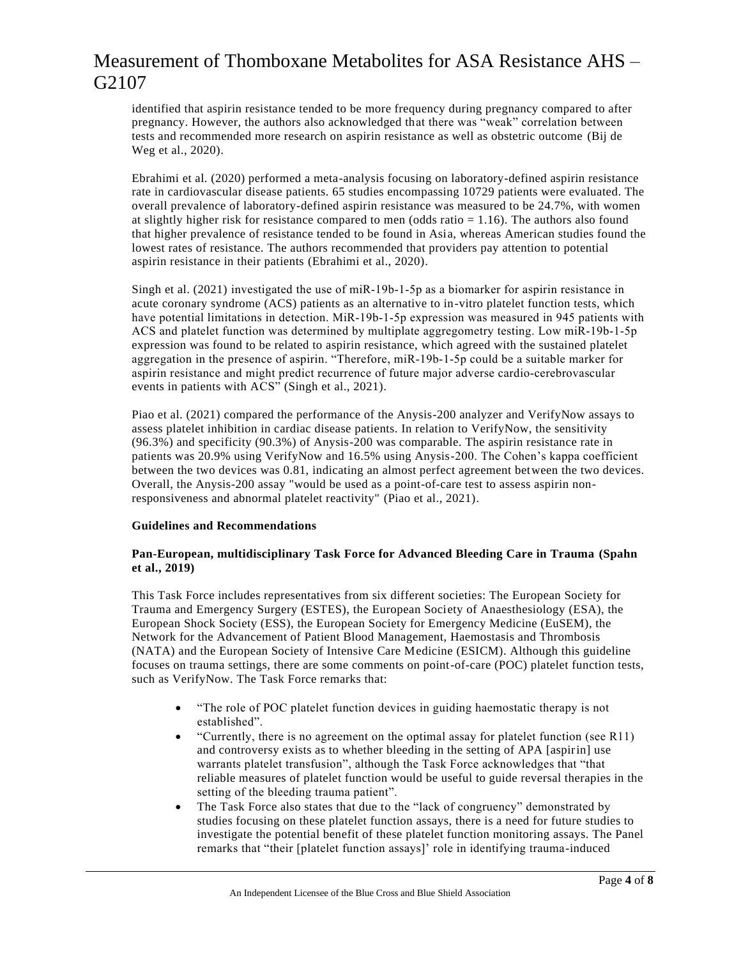identified that aspirin resistance tended to be more frequency during pregnancy compared to after pregnancy. However, the authors also acknowledged that there was "weak" correlation between tests and recommended more research on aspirin resistance as well as obstetric outcome (Bij de Weg et al., 2020).

Ebrahimi et al. (2020) performed a meta-analysis focusing on laboratory-defined aspirin resistance rate in cardiovascular disease patients. 65 studies encompassing 10729 patients were evaluated. The overall prevalence of laboratory-defined aspirin resistance was measured to be 24.7%, with women at slightly higher risk for resistance compared to men (odds ratio = 1.16). The authors also found that higher prevalence of resistance tended to be found in Asia, whereas American studies found the lowest rates of resistance. The authors recommended that providers pay attention to potential aspirin resistance in their patients (Ebrahimi et al., 2020).

Singh et al. (2021) investigated the use of miR‐19b‐1‐5p as a biomarker for aspirin resistance in acute coronary syndrome (ACS) patients as an alternative to in-vitro platelet function tests, which have potential limitations in detection. MiR-19b-1-5p expression was measured in 945 patients with ACS and platelet function was determined by multiplate aggregometry testing. Low miR‐19b‐1‐5p expression was found to be related to aspirin resistance, which agreed with the sustained platelet aggregation in the presence of aspirin. "Therefore, miR‐19b‐1‐5p could be a suitable marker for aspirin resistance and might predict recurrence of future major adverse cardio‐cerebrovascular events in patients with ACS" (Singh et al., 2021).

Piao et al. (2021) compared the performance of the Anysis-200 analyzer and VerifyNow assays to assess platelet inhibition in cardiac disease patients. In relation to VerifyNow, the sensitivity (96.3%) and specificity (90.3%) of Anysis-200 was comparable. The aspirin resistance rate in patients was 20.9% using VerifyNow and 16.5% using Anysis-200. The Cohen's kappa coefficient between the two devices was 0.81, indicating an almost perfect agreement between the two devices. Overall, the Anysis-200 assay "would be used as a point-of-care test to assess aspirin nonresponsiveness and abnormal platelet reactivity" (Piao et al., 2021).

#### **Guidelines and Recommendations**

#### **Pan-European, multidisciplinary Task Force for Advanced Bleeding Care in Trauma (Spahn et al., 2019)**

This Task Force includes representatives from six different societies: The European Society for Trauma and Emergency Surgery (ESTES), the European Society of Anaesthesiology (ESA), the European Shock Society (ESS), the European Society for Emergency Medicine (EuSEM), the Network for the Advancement of Patient Blood Management, Haemostasis and Thrombosis (NATA) and the European Society of Intensive Care Medicine (ESICM). Although this guideline focuses on trauma settings, there are some comments on point-of-care (POC) platelet function tests, such as VerifyNow. The Task Force remarks that:

- "The role of POC platelet function devices in guiding haemostatic therapy is not established".
- "Currently, there is no agreement on the optimal assay for platelet function (see R11) and controversy exists as to whether bleeding in the setting of APA [aspirin] use warrants platelet transfusion", although the Task Force acknowledges that "that reliable measures of platelet function would be useful to guide reversal therapies in the setting of the bleeding trauma patient".
- The Task Force also states that due to the "lack of congruency" demonstrated by studies focusing on these platelet function assays, there is a need for future studies to investigate the potential benefit of these platelet function monitoring assays. The Panel remarks that "their [platelet function assays]' role in identifying trauma-induced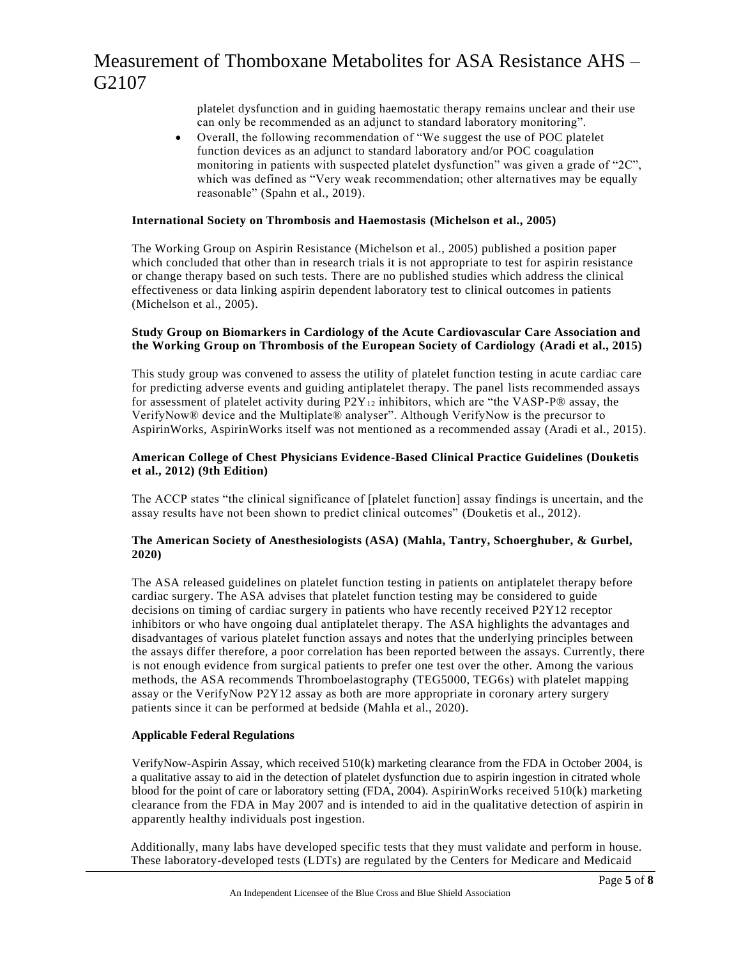platelet dysfunction and in guiding haemostatic therapy remains unclear and their use can only be recommended as an adjunct to standard laboratory monitoring".

• Overall, the following recommendation of "We suggest the use of POC platelet function devices as an adjunct to standard laboratory and/or POC coagulation monitoring in patients with suspected platelet dysfunction" was given a grade of "2C", which was defined as "Very weak recommendation; other alternatives may be equally reasonable" (Spahn et al., 2019).

#### **International Society on Thrombosis and Haemostasis (Michelson et al., 2005)**

The Working Group on Aspirin Resistance (Michelson et al., 2005) published a position paper which concluded that other than in research trials it is not appropriate to test for aspirin resistance or change therapy based on such tests. There are no published studies which address the clinical effectiveness or data linking aspirin dependent laboratory test to clinical outcomes in patients (Michelson et al., 2005).

#### **Study Group on Biomarkers in Cardiology of the Acute Cardiovascular Care Association and the Working Group on Thrombosis of the European Society of Cardiology (Aradi et al., 2015)**

This study group was convened to assess the utility of platelet function testing in acute cardiac care for predicting adverse events and guiding antiplatelet therapy. The panel lists recommended assays for assessment of platelet activity during  $P2Y_{12}$  inhibitors, which are "the VASP-P® assay, the VerifyNow® device and the Multiplate® analyser". Although VerifyNow is the precursor to AspirinWorks, AspirinWorks itself was not mentioned as a recommended assay (Aradi et al., 2015).

#### **American College of Chest Physicians Evidence-Based Clinical Practice Guidelines (Douketis et al., 2012) (9th Edition)**

The ACCP states "the clinical significance of [platelet function] assay findings is uncertain, and the assay results have not been shown to predict clinical outcomes" (Douketis et al., 2012).

#### **The American Society of Anesthesiologists (ASA) (Mahla, Tantry, Schoerghuber, & Gurbel, 2020)**

The ASA released guidelines on platelet function testing in patients on antiplatelet therapy before cardiac surgery. The ASA advises that platelet function testing may be considered to guide decisions on timing of cardiac surgery in patients who have recently received P2Y12 receptor inhibitors or who have ongoing dual antiplatelet therapy. The ASA highlights the advantages and disadvantages of various platelet function assays and notes that the underlying principles between the assays differ therefore, a poor correlation has been reported between the assays. Currently, there is not enough evidence from surgical patients to prefer one test over the other. Among the various methods, the ASA recommends Thromboelastography (TEG5000, TEG6s) with platelet mapping assay or the VerifyNow P2Y12 assay as both are more appropriate in coronary artery surgery patients since it can be performed at bedside (Mahla et al., 2020).

#### **Applicable Federal Regulations**

VerifyNow-Aspirin Assay, which received 510(k) marketing clearance from the FDA in October 2004, is a qualitative assay to aid in the detection of platelet dysfunction due to aspirin ingestion in citrated whole blood for the point of care or laboratory setting (FDA, 2004). AspirinWorks received 510(k) marketing clearance from the FDA in May 2007 and is intended to aid in the qualitative detection of aspirin in apparently healthy individuals post ingestion.

Additionally, many labs have developed specific tests that they must validate and perform in house. These laboratory-developed tests (LDTs) are regulated by the Centers for Medicare and Medicaid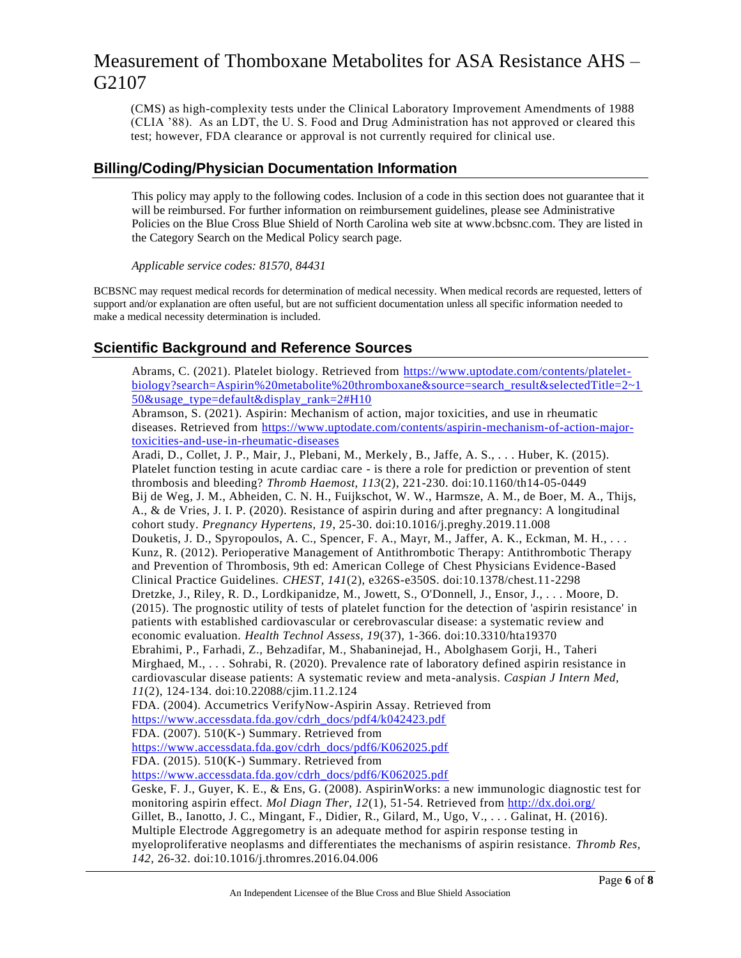(CMS) as high-complexity tests under the Clinical Laboratory Improvement Amendments of 1988 (CLIA '88). As an LDT, the U. S. Food and Drug Administration has not approved or cleared this test; however, FDA clearance or approval is not currently required for clinical use.

### **Billing/Coding/Physician Documentation Information**

This policy may apply to the following codes. Inclusion of a code in this section does not guarantee that it will be reimbursed. For further information on reimbursement guidelines, please see Administrative Policies on the Blue Cross Blue Shield of North Carolina web site at www.bcbsnc.com. They are listed in the Category Search on the Medical Policy search page.

*Applicable service codes: 81570, 84431*

BCBSNC may request medical records for determination of medical necessity. When medical records are requested, letters of support and/or explanation are often useful, but are not sufficient documentation unless all specific information needed to make a medical necessity determination is included.

## **Scientific Background and Reference Sources**

Abrams, C. (2021). Platelet biology. Retrieved from [https://www.uptodate.com/contents/platelet](https://www.uptodate.com/contents/platelet-biology?search=Aspirin%20metabolite%20thromboxane&source=search_result&selectedTitle=2~150&usage_type=default&display_rank=2#H10)[biology?search=Aspirin%20metabolite%20thromboxane&source=search\\_result&selectedTitle=2~1](https://www.uptodate.com/contents/platelet-biology?search=Aspirin%20metabolite%20thromboxane&source=search_result&selectedTitle=2~150&usage_type=default&display_rank=2#H10) [50&usage\\_type=default&display\\_rank=2#H10](https://www.uptodate.com/contents/platelet-biology?search=Aspirin%20metabolite%20thromboxane&source=search_result&selectedTitle=2~150&usage_type=default&display_rank=2#H10)

Abramson, S. (2021). Aspirin: Mechanism of action, major toxicities, and use in rheumatic diseases. Retrieved from [https://www.uptodate.com/contents/aspirin-mechanism-of-action-major](https://www.uptodate.com/contents/aspirin-mechanism-of-action-major-toxicities-and-use-in-rheumatic-diseases)[toxicities-and-use-in-rheumatic-diseases](https://www.uptodate.com/contents/aspirin-mechanism-of-action-major-toxicities-and-use-in-rheumatic-diseases)

Aradi, D., Collet, J. P., Mair, J., Plebani, M., Merkely, B., Jaffe, A. S., . . . Huber, K. (2015). Platelet function testing in acute cardiac care - is there a role for prediction or prevention of stent thrombosis and bleeding? *Thromb Haemost, 113*(2), 221-230. doi:10.1160/th14-05-0449 Bij de Weg, J. M., Abheiden, C. N. H., Fuijkschot, W. W., Harmsze, A. M., de Boer, M. A., Thijs, A., & de Vries, J. I. P. (2020). Resistance of aspirin during and after pregnancy: A longitudinal cohort study. *Pregnancy Hypertens, 19*, 25-30. doi:10.1016/j.preghy.2019.11.008 Douketis, J. D., Spyropoulos, A. C., Spencer, F. A., Mayr, M., Jaffer, A. K., Eckman, M. H., . . . Kunz, R. (2012). Perioperative Management of Antithrombotic Therapy: Antithrombotic Therapy and Prevention of Thrombosis, 9th ed: American College of Chest Physicians Evidence-Based Clinical Practice Guidelines. *CHEST, 141*(2), e326S-e350S. doi:10.1378/chest.11-2298 Dretzke, J., Riley, R. D., Lordkipanidze, M., Jowett, S., O'Donnell, J., Ensor, J., . . . Moore, D. (2015). The prognostic utility of tests of platelet function for the detection of 'aspirin resistance' in patients with established cardiovascular or cerebrovascular disease: a systematic review and economic evaluation. *Health Technol Assess, 19*(37), 1-366. doi:10.3310/hta19370 Ebrahimi, P., Farhadi, Z., Behzadifar, M., Shabaninejad, H., Abolghasem Gorji, H., Taheri Mirghaed, M., . . . Sohrabi, R. (2020). Prevalence rate of laboratory defined aspirin resistance in cardiovascular disease patients: A systematic review and meta-analysis. *Caspian J Intern Med, 11*(2), 124-134. doi:10.22088/cjim.11.2.124 FDA. (2004). Accumetrics VerifyNow-Aspirin Assay. Retrieved from [https://www.accessdata.fda.gov/cdrh\\_docs/pdf4/k042423.pdf](https://www.accessdata.fda.gov/cdrh_docs/pdf4/k042423.pdf) FDA. (2007). 510(K-) Summary. Retrieved from [https://www.accessdata.fda.gov/cdrh\\_docs/pdf6/K062025.pdf](https://www.accessdata.fda.gov/cdrh_docs/pdf6/K062025.pdf) FDA. (2015). 510(K-) Summary. Retrieved from [https://www.accessdata.fda.gov/cdrh\\_docs/pdf6/K062025.pdf](https://www.accessdata.fda.gov/cdrh_docs/pdf6/K062025.pdf) Geske, F. J., Guyer, K. E., & Ens, G. (2008). AspirinWorks: a new immunologic diagnostic test for monitoring aspirin effect. *Mol Diagn Ther, 12*(1), 51-54. Retrieved from<http://dx.doi.org/> Gillet, B., Ianotto, J. C., Mingant, F., Didier, R., Gilard, M., Ugo, V., . . . Galinat, H. (2016). Multiple Electrode Aggregometry is an adequate method for aspirin response testing in myeloproliferative neoplasms and differentiates the mechanisms of aspirin resistance. *Thromb Res, 142*, 26-32. doi:10.1016/j.thromres.2016.04.006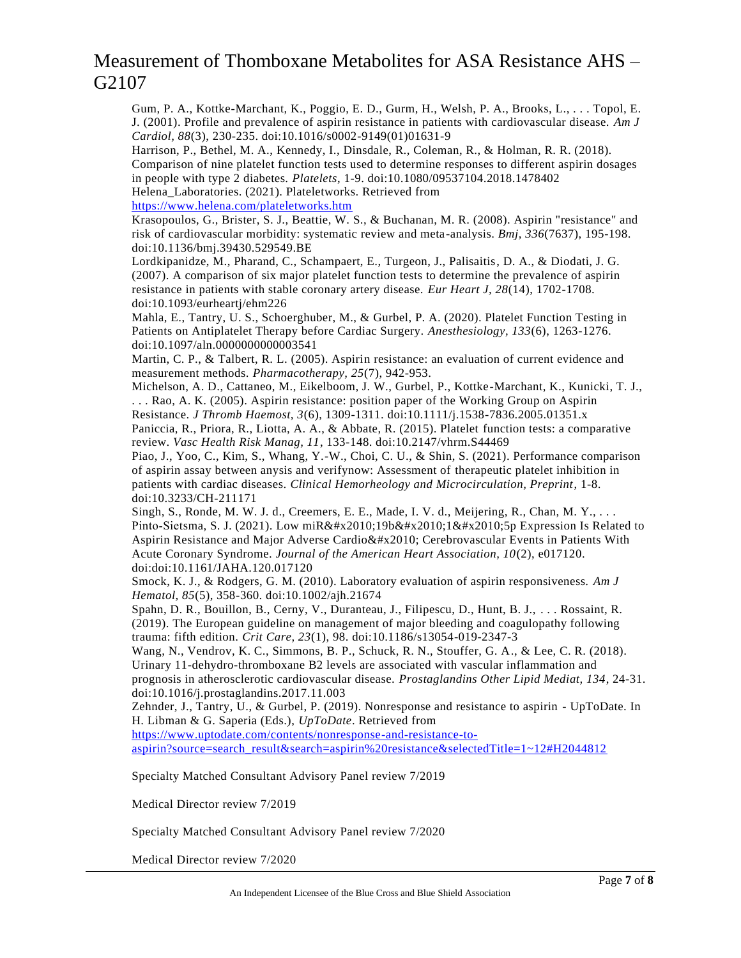Gum, P. A., Kottke-Marchant, K., Poggio, E. D., Gurm, H., Welsh, P. A., Brooks, L., . . . Topol, E. J. (2001). Profile and prevalence of aspirin resistance in patients with cardiovascular disease. *Am J Cardiol, 88*(3), 230-235. doi:10.1016/s0002-9149(01)01631-9

Harrison, P., Bethel, M. A., Kennedy, I., Dinsdale, R., Coleman, R., & Holman, R. R. (2018). Comparison of nine platelet function tests used to determine responses to different aspirin dosages in people with type 2 diabetes. *Platelets*, 1-9. doi:10.1080/09537104.2018.1478402 Helena\_Laboratories. (2021). Plateletworks. Retrieved from

<https://www.helena.com/plateletworks.htm>

Krasopoulos, G., Brister, S. J., Beattie, W. S., & Buchanan, M. R. (2008). Aspirin "resistance" and risk of cardiovascular morbidity: systematic review and meta-analysis. *Bmj, 336*(7637), 195-198. doi:10.1136/bmj.39430.529549.BE

Lordkipanidze, M., Pharand, C., Schampaert, E., Turgeon, J., Palisaitis, D. A., & Diodati, J. G. (2007). A comparison of six major platelet function tests to determine the prevalence of aspirin resistance in patients with stable coronary artery disease. *Eur Heart J, 28*(14), 1702-1708. doi:10.1093/eurheartj/ehm226

Mahla, E., Tantry, U. S., Schoerghuber, M., & Gurbel, P. A. (2020). Platelet Function Testing in Patients on Antiplatelet Therapy before Cardiac Surgery. *Anesthesiology, 133*(6), 1263-1276. doi:10.1097/aln.0000000000003541

Martin, C. P., & Talbert, R. L. (2005). Aspirin resistance: an evaluation of current evidence and measurement methods. *Pharmacotherapy, 25*(7), 942-953.

Michelson, A. D., Cattaneo, M., Eikelboom, J. W., Gurbel, P., Kottke-Marchant, K., Kunicki, T. J., . . . Rao, A. K. (2005). Aspirin resistance: position paper of the Working Group on Aspirin Resistance. *J Thromb Haemost, 3*(6), 1309-1311. doi:10.1111/j.1538-7836.2005.01351.x

Paniccia, R., Priora, R., Liotta, A. A., & Abbate, R. (2015). Platelet function tests: a comparative review. *Vasc Health Risk Manag, 11*, 133-148. doi:10.2147/vhrm.S44469

Piao, J., Yoo, C., Kim, S., Whang, Y.-W., Choi, C. U., & Shin, S. (2021). Performance comparison of aspirin assay between anysis and verifynow: Assessment of therapeutic platelet inhibition in patients with cardiac diseases. *Clinical Hemorheology and Microcirculation, Preprint*, 1-8. doi:10.3233/CH-211171

Singh, S., Ronde, M. W. J. d., Creemers, E. E., Made, I. V. d., Meijering, R., Chan, M. Y., ... Pinto-Sietsma, S. J. (2021). Low miR‐19b‐1‐5p Expression Is Related to Aspirin Resistance and Major Adverse Cardio & #x2010; Cerebrovascular Events in Patients With Acute Coronary Syndrome. *Journal of the American Heart Association, 10*(2), e017120. doi:doi:10.1161/JAHA.120.017120

Smock, K. J., & Rodgers, G. M. (2010). Laboratory evaluation of aspirin responsiveness. *Am J Hematol, 85*(5), 358-360. doi:10.1002/ajh.21674

Spahn, D. R., Bouillon, B., Cerny, V., Duranteau, J., Filipescu, D., Hunt, B. J., . . . Rossaint, R. (2019). The European guideline on management of major bleeding and coagulopathy following trauma: fifth edition. *Crit Care, 23*(1), 98. doi:10.1186/s13054-019-2347-3

Wang, N., Vendrov, K. C., Simmons, B. P., Schuck, R. N., Stouffer, G. A., & Lee, C. R. (2018). Urinary 11-dehydro-thromboxane B2 levels are associated with vascular inflammation and prognosis in atherosclerotic cardiovascular disease. *Prostaglandins Other Lipid Mediat, 134*, 24-31. doi:10.1016/j.prostaglandins.2017.11.003

Zehnder, J., Tantry, U., & Gurbel, P. (2019). Nonresponse and resistance to aspirin - UpToDate. In H. Libman & G. Saperia (Eds.), *UpToDate*. Retrieved from

[https://www.uptodate.com/contents/nonresponse-and-resistance-to-](https://www.uptodate.com/contents/nonresponse-and-resistance-to-aspirin?source=search_result&search=aspirin%20resistance&selectedTitle=1~12#H2044812)

[aspirin?source=search\\_result&search=aspirin%20resistance&selectedTitle=1~12#H2044812](https://www.uptodate.com/contents/nonresponse-and-resistance-to-aspirin?source=search_result&search=aspirin%20resistance&selectedTitle=1~12#H2044812)

Specialty Matched Consultant Advisory Panel review 7/2019

Medical Director review 7/2019

Specialty Matched Consultant Advisory Panel review 7/2020

Medical Director review 7/2020